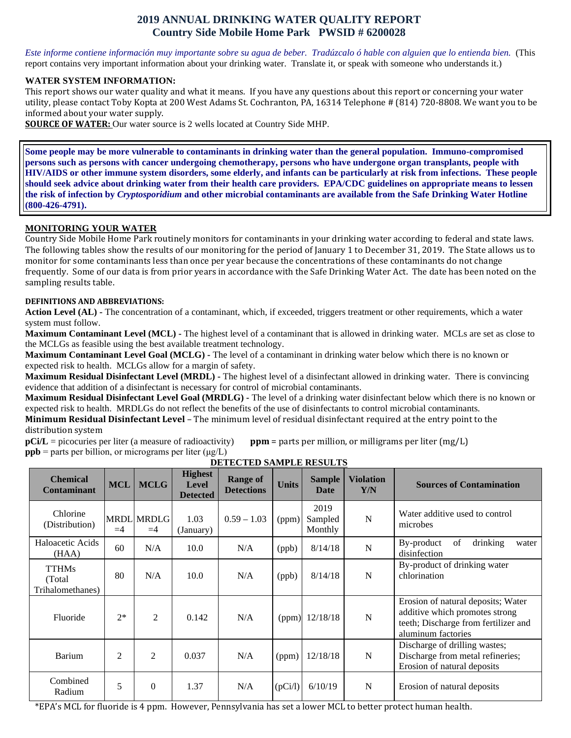# **2019 ANNUAL DRINKING WATER QUALITY REPORT Country Side Mobile Home Park PWSID # 6200028**

*Este informe contiene información muy importante sobre su agua de beber. Tradúzcalo ó hable con alguien que lo entienda bien.* (This report contains very important information about your drinking water. Translate it, or speak with someone who understands it.)

#### **WATER SYSTEM INFORMATION:**

This report shows our water quality and what it means. If you have any questions about this report or concerning your water utility, please contact Toby Kopta at 200 West Adams St. Cochranton, PA, 16314 Telephone # (814) 720-8808. We want you to be informed about your water supply.

**SOURCE OF WATER:** Our water source is 2 wells located at Country Side MHP.

**Some people may be more vulnerable to contaminants in drinking water than the general population. Immuno-compromised persons such as persons with cancer undergoing chemotherapy, persons who have undergone organ transplants, people with HIV/AIDS or other immune system disorders, some elderly, and infants can be particularly at risk from infections. These people should seek advice about drinking water from their health care providers. EPA/CDC guidelines on appropriate means to lessen the risk of infection by** *Cryptosporidium* **and other microbial contaminants are available from the Safe Drinking Water Hotline (800-426-4791).**

## **MONITORING YOUR WATER**

Country Side Mobile Home Park routinely monitors for contaminants in your drinking water according to federal and state laws. The following tables show the results of our monitoring for the period of January 1 to December 31, 2019. The State allows us to monitor for some contaminants less than once per year because the concentrations of these contaminants do not change frequently. Some of our data is from prior years in accordance with the Safe Drinking Water Act. The date has been noted on the sampling results table.

#### **DEFINITIONS AND ABBREVIATIONS:**

**Action Level (AL) -** The concentration of a contaminant, which, if exceeded, triggers treatment or other requirements, which a water system must follow.

**Maximum Contaminant Level (MCL) -** The highest level of a contaminant that is allowed in drinking water. MCLs are set as close to the MCLGs as feasible using the best available treatment technology.

**Maximum Contaminant Level Goal (MCLG) -** The level of a contaminant in drinking water below which there is no known or expected risk to health. MCLGs allow for a margin of safety.

**Maximum Residual Disinfectant Level (MRDL) -** The highest level of a disinfectant allowed in drinking water. There is convincing evidence that addition of a disinfectant is necessary for control of microbial contaminants.

**Maximum Residual Disinfectant Level Goal (MRDLG) -** The level of a drinking water disinfectant below which there is no known or expected risk to health. MRDLGs do not reflect the benefits of the use of disinfectants to control microbial contaminants.

**Minimum Residual Disinfectant Level** – The minimum level of residual disinfectant required at the entry point to the distribution system<br> $pCi/L =$  picocuries per liter (a measure of radioactivity)

**ppm** = parts per million, or milligrams per liter (mg/L) **ppb** = parts per billion, or micrograms per liter  $(\mu g/L)$ 

| <b>Chemical</b><br><b>Contaminant</b>       | <b>MCL</b>     | <b>MCLG</b>               | <b>Highest</b><br><b>Level</b><br><b>Detected</b> | <b>Range of</b><br><b>Detections</b> | <b>Units</b> | <b>Sample</b><br>Date      | <b>Violation</b><br>Y/N | <b>Sources of Contamination</b>                                                                                                    |
|---------------------------------------------|----------------|---------------------------|---------------------------------------------------|--------------------------------------|--------------|----------------------------|-------------------------|------------------------------------------------------------------------------------------------------------------------------------|
| Chlorine<br>(Distribution)                  | $=4$           | <b>MRDL MRDLG</b><br>$=4$ | 1.03<br>(January)                                 | $0.59 - 1.03$                        | (ppm)        | 2019<br>Sampled<br>Monthly | $\mathbf N$             | Water additive used to control<br>microbes                                                                                         |
| Haloacetic Acids<br>(HAA)                   | 60             | N/A                       | 10.0                                              | N/A                                  | (ppb)        | 8/14/18                    | $\mathbf N$             | of<br>drinking<br>By-product<br>water<br>disinfection                                                                              |
| <b>TTHMs</b><br>(Total)<br>Trihalomethanes) | 80             | N/A                       | 10.0                                              | N/A                                  | (ppb)        | 8/14/18                    | $\mathbf N$             | By-product of drinking water<br>chlorination                                                                                       |
| Fluoride                                    | $2*$           | $\overline{2}$            | 0.142                                             | N/A                                  |              | (ppm) $12/18/18$           | $\mathbf N$             | Erosion of natural deposits; Water<br>additive which promotes strong<br>teeth; Discharge from fertilizer and<br>aluminum factories |
| Barium                                      | $\overline{2}$ | $\overline{2}$            | 0.037                                             | N/A                                  | (ppm)        | 12/18/18                   | $\mathbf N$             | Discharge of drilling wastes;<br>Discharge from metal refineries;<br>Erosion of natural deposits                                   |
| Combined<br>Radium                          | 5              | $\theta$                  | 1.37                                              | N/A                                  | (pCi/l)      | 6/10/19                    | N                       | Erosion of natural deposits                                                                                                        |

**DETECTED SAMPLE RESULTS**

\*EPA's MCL for fluoride is 4 ppm. However, Pennsylvania has set a lower MCL to better protect human health.